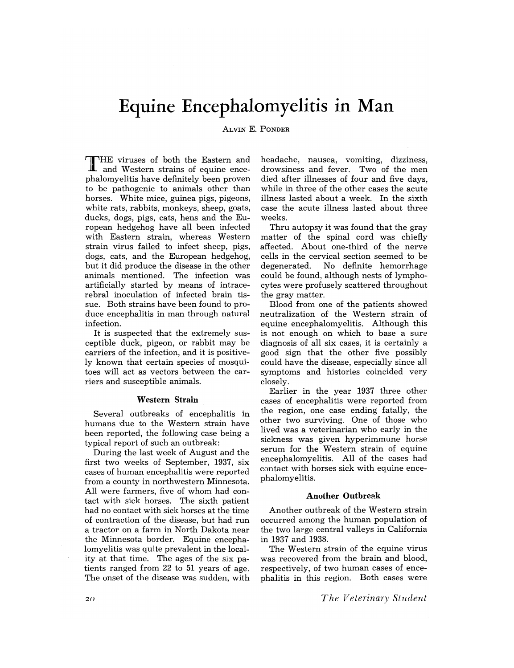# **Equine Encephalomyelitis in Man**

## ALVIN E. PONDER

T HE viruses of both the Eastern and and Western strains of equine encephalomyelitis have definitely been proven to be pathogenic to animals other than horses. White mice, guinea pigs, pigeons, white rats, rabbits, monkeys, sheep, goats, ducks, dogs, pigs, cats, hens and the European hedgehog have all been infected with Eastern strain, whereas Western strain virus failed to infect sheep, pigs, dogs, cats, and the European hedgehog, but it did produce the disease in the other animals mentioned. The infection was artificially started by means of intracerebral inoculation of infected brain tissue. Both strains have been found to produce encephalitis in man through natural infection.

It is suspected that the extremely susceptible duck, pigeon, or rabbit may be carriers of the infection, and it is positively known that certain species of mosquitoes will act as vectors between the carriers and susceptible animals.

#### **Western Strain**

Several outbreaks of encephalitis in humans due to the Western strain have been reported, the following case being a typical report of such an outbreak:

During the last week of August and the first two weeks of September, 1937, six cases of human encephalitis were reported from a county in northwestern Minnesota. All were farmers, five of whom had contact with sick horses. The sixth patient had no contact with sick horses at the time of contraction of the disease, but had run a tractor on a farm in North Dakota near the Minnesota border. Equine encephalomyelitis was quite prevalent in the locality at that time. The ages of the six patients ranged from 22 to 51 years of age. The onset of the disease was sudden, with headache, nausea, vomiting, dizziness, drowsiness and fever. Two of the men died after illnesses of four and five days, while in three of the other cases the acute illness lasted about a week. In the sixth case the acute illness lasted about three weeks.

Thru autopsy it was found that the gray matter of the spinal cord was chiefly affected. About one-third of the nerve cells in the cervical section seemed to be No definite hemorrhage could be found, although nests of lymphocytes were profusely scattered throughout the gray matter.

Blood from one of the patients showed neutralization of the Western strain of equine encephalomyelitis. Although this is not enough on which to base a sure diagnosis of all six cases, it is certainly a good sign that the other five possibly could have the disease, especially since all symptoms and histories coincided very closely.

Earlier in the year 1937 three other cases of encephalitis were reported from the region, one case ending fatally, the other two surviving. One of those who lived was a veterinarian who early in the sickness was given hyperimmune horse serum for the Western strain of equine encephalomyelitis. All of the cases had contact with horses sick with equine encephalomyelitis.

#### **Another Outbreak**

Another outbreak of the Western strain occurred among the human population of the two large central valleys in California in 1937 and 1938.

The Western strain of the equine virus was recovered from the brain and blood, respectively, of two human cases of encephalitis in this region. Both cases were

*The Veterinary Student*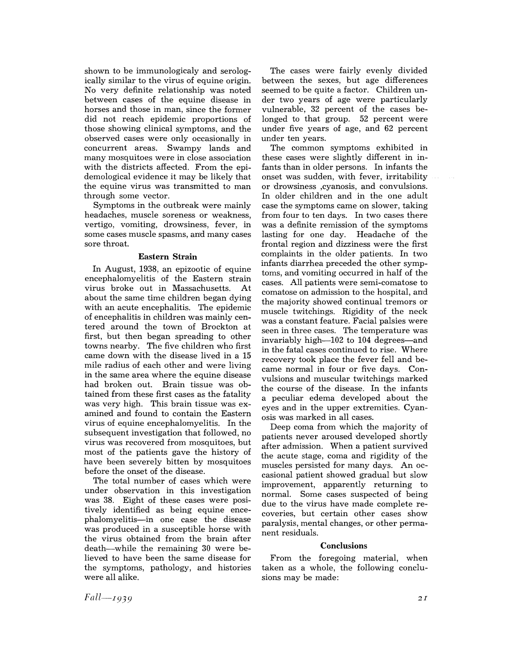shown to be immunologicaly and serologically similar to the virus of equine origin. No very definite relationship was noted between cases of the equine disease in horses and those in man, since the former did not reach epidemic proportions of those showing clinical symptoms, and the observed cases were only occasionally in concurrent areas. Swampy lands and many mosquitoes were in close association with the districts affected. From the epidemological evidence it may be likely that the equine virus was transmitted to man through some vector.

Symptoms in the outbreak were mainly headaches, muscle soreness or weakness, vertigo, vomiting, drowsiness, fever, in some cases muscle spasms, and many cases sore throat.

## Eastern Strain

In August, 1938, an epizootic of equine encephalomyelitis of the Eastern strain virus broke out in Massachusetts. At about the same time children began dying with an acute encephalitis. The epidemic of encephalitis in children was mainly centered around the town of Brockton at first, but then began spreading to other towns nearby. The five children who first came down with the disease lived in a 15 mile radius of each other and were living in the same area where the equine disease had broken out. Brain tissue was obtained from these first cases as the fatality was very high. This brain tissue was examined and found to contain the Eastern virus of equine encephalomyelitis. In the subsequent investigation that followed, no virus was recovered from mosquitoes, but most of the patients gave the history of have been severely bitten by mosquitoes before the onset of the disease.

The total number of cases which were under observation in this investigation was 38. Eight of these cases were positively identified as being equine encephalomyelitis-in one case the disease was produced in a susceptible horse with the virus obtained from the brain after death-while the remaining 30 were believed to have been the same disease for the symptoms, pathology, and histories were all alike.

The cases were fairly evenly divided between the sexes, but age differences seemed to be quite a factor. Children under two years of age were particularly vulnerable, 32 percent of the cases belonged to that group. 52 percent were under five years of age, and 62 percent under ten years.

The common symptoms exhibited in these cases were slightly different in infants than in older persons. In infants the onset was sudden, with fever, irritability or drowsiness ,cyanosis, and convulsions. In older children and in the one adult case the symptoms came on slower, taking from four to ten days. In two cases there was a definite remission of the symptoms lasting for one day. Headache of the frontal region and dizziness were the first complaints in the older patients. In two infants diarrhea preceded the other symptoms, and vomiting occurred in half of the cases. All patients were semi-comatose to comatose on admission to the hospital, and the majority showed continual tremors or muscle twitchings. Rigidity of the neck was a constant feature. Facial palsies were seen in three cases. The temperature was invariably high $-102$  to 104 degrees-and in the fatal cases continued to rise. Where recovery took place the fever fell and became normal in four or five days. Convulsions and muscular twitchings marked the course of the disease. In the infants a peculiar edema developed about the eyes and in the upper extremities. Cyanosis was marked in all cases.

Deep coma from which the majority of patients never aroused developed shortly after admission. When a patient survived the acute stage, coma and rigidity of the muscles persisted for many days. An occasional patient showed gradual but slow improvement, apparently returning to normal. Some cases suspected of being due to the virus have made complete recoveries, but certain other cases show paralysis, mental changes, or other permanent residuals.

## **Conclusions**

From the foregoing material, when taken as a whole, the following conclusions may be made:

*Fall-I939*